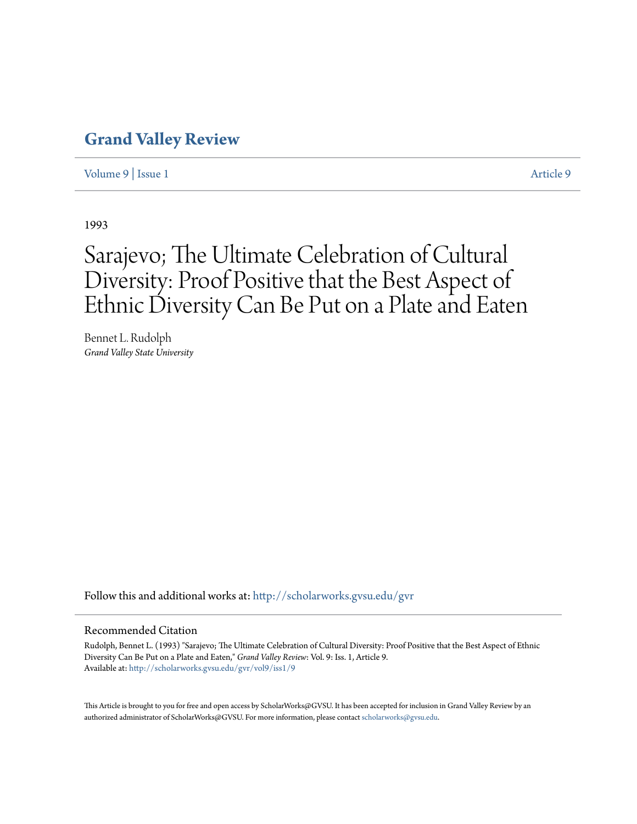### **[Grand Valley Review](http://scholarworks.gvsu.edu/gvr?utm_source=scholarworks.gvsu.edu%2Fgvr%2Fvol9%2Fiss1%2F9&utm_medium=PDF&utm_campaign=PDFCoverPages)**

[Volume 9](http://scholarworks.gvsu.edu/gvr/vol9?utm_source=scholarworks.gvsu.edu%2Fgvr%2Fvol9%2Fiss1%2F9&utm_medium=PDF&utm_campaign=PDFCoverPages) | [Issue 1](http://scholarworks.gvsu.edu/gvr/vol9/iss1?utm_source=scholarworks.gvsu.edu%2Fgvr%2Fvol9%2Fiss1%2F9&utm_medium=PDF&utm_campaign=PDFCoverPages) [Article 9](http://scholarworks.gvsu.edu/gvr/vol9/iss1/9?utm_source=scholarworks.gvsu.edu%2Fgvr%2Fvol9%2Fiss1%2F9&utm_medium=PDF&utm_campaign=PDFCoverPages)

1993

# Sarajevo; The Ultimate Celebration of Cultural Diversity: Proof Positive that the Best Aspect of Ethnic Diversity Can Be Put on a Plate and Eaten

Bennet L. Rudolph *Grand Valley State University*

Follow this and additional works at: [http://scholarworks.gvsu.edu/gvr](http://scholarworks.gvsu.edu/gvr?utm_source=scholarworks.gvsu.edu%2Fgvr%2Fvol9%2Fiss1%2F9&utm_medium=PDF&utm_campaign=PDFCoverPages)

#### Recommended Citation

Rudolph, Bennet L. (1993) "Sarajevo; The Ultimate Celebration of Cultural Diversity: Proof Positive that the Best Aspect of Ethnic Diversity Can Be Put on a Plate and Eaten," *Grand Valley Review*: Vol. 9: Iss. 1, Article 9. Available at: [http://scholarworks.gvsu.edu/gvr/vol9/iss1/9](http://scholarworks.gvsu.edu/gvr/vol9/iss1/9?utm_source=scholarworks.gvsu.edu%2Fgvr%2Fvol9%2Fiss1%2F9&utm_medium=PDF&utm_campaign=PDFCoverPages)

This Article is brought to you for free and open access by ScholarWorks@GVSU. It has been accepted for inclusion in Grand Valley Review by an authorized administrator of ScholarWorks@GVSU. For more information, please contact [scholarworks@gvsu.edu.](mailto:scholarworks@gvsu.edu)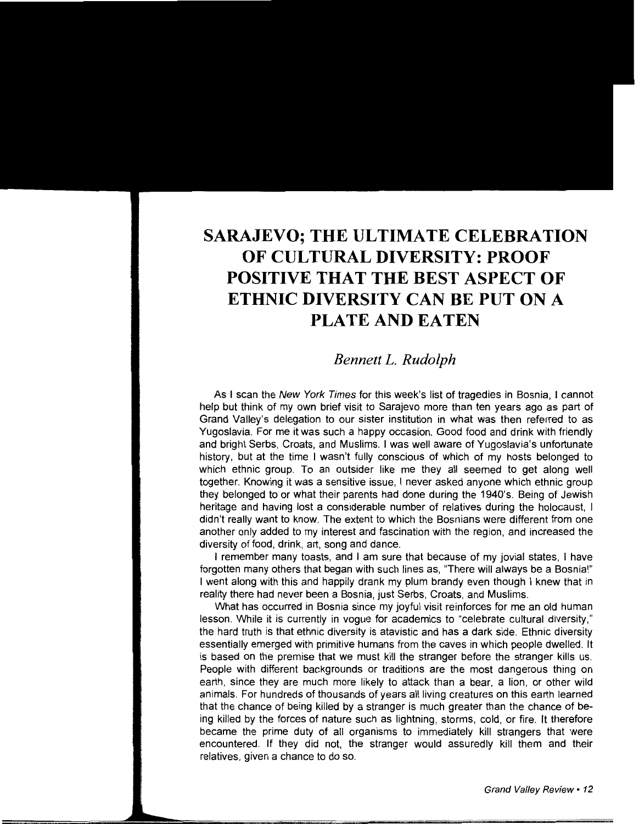## **SARAJEVO; THE ULTIMATE CELEBRATION OF CULTURAL DIVERSITY: PROOF POSITIVE THAT THE BEST ASPECT OF ETHNIC DIVERSITY CAN BE PUT ON A PLATE AND EATEN**

### *Bennett L. Rudolph*

As I scan the New York Times for this week's list of tragedies in Bosnia, I cannot help but think of my own brief visit to Sarajevo more than ten years ago as part of Grand Valley's delegation to our sister institution in what was then referred to as Yugoslavia. For me it was such a happy occasion. Good food and drink with friendly and bright Serbs, Croats, and Muslims. I was well aware of Yugoslavia's unfortunate history, but at the time I wasn't fully conscious of which of my hosts belonged to which ethnic group. To an outsider like me they all seemed to get along well together. Knowing it was a sensitive issue, I never asked anyone which ethnic group they belonged to or what their parents had done during the 1940's. Being of Jewish heritage and having lost a considerable number of relatives during the holocaust, I didn't really want to know. The extent to which the Bosnians were different from one another only added to my interest and fascination with the region, and increased the diversity of food, drink, art, song and dance.

I remember many toasts, and I am sure that because of my jovial states, I have forgotten many others that began with such lines as, "There will always be a Bosnia!" I went along with this and happily drank my plum brandy even though I knew that in reality there had never been a Bosnia, just Serbs, Croats, and Muslims.

What has occurred in Bosnia since my joyful visit reinforces for me an old human lesson. While it is currently in vogue for academics to "celebrate cultural diversity," the hard truth is that ethnic diversity is atavistic and has a dark side. Ethnic diversity essentially emerged with primitive humans from the caves in which people dwelled. It is based on the premise that we must kill the stranger before the stranger kills us. People with different backgrounds or traditions are the most dangerous thing on earth, since they are much more likely to attack than a bear, a lion, or other wild animals. For hundreds of thousands of years all living creatures on this earth learned that the chance of being killed by a stranger is much greater than the chance of being killed by the forces of nature such as lightning, storms, cold, or fire. It therefore became the prime duty of all organisms to immediately kill strangers that were encountered. If they did not, the stranger would assuredly kill them and their relatives, given a chance to do so.